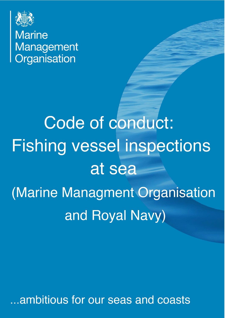

**Marine** Management Organisation

Code of conduct: **Fishing vessel inspections** at sea (Marine Managment Organisation and Royal Navy)

..ambitious for our seas and coasts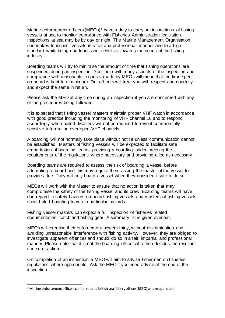Marine enforcement officers (MEOs)<sup>[1](#page-1-0)</sup> have a duty to carry out inspections of fishing vessels at sea to monitor compliance with Fisheries Administration legislation. Inspections at sea may be by day or night. The Marine Management Organisation undertakes to inspect vessels in a fair and professional manner and to a high standard while being courteous and, sensitive towards the needs of the fishing industry.

Boarding teams will try to minimise the amount of time that fishing operations are suspended during an inspection. Your help with many aspects of the inspection and compliance with reasonable requests made by MEOs will mean that the time spent on board is kept to a minimum. Our officers will treat you with respect and courtesy and expect the same in return.

Please ask the MEO at any time during an inspection if you are concerned with any of the procedures being followed.

It is expected that fishing vessel masters maintain proper VHF watch in accordance with good practice including the monitoring of VHF channel 16 and to respond accordingly when hailed. Masters will not be required to reveal commercially sensitive information over open VHF channels.

A boarding will not normally take place without notice unless communication cannot be established. Masters of fishing vessels will be expected to facilitate safe embarkation of boarding teams, providing a boarding ladder meeting the requirements of the regulations where necessary and providing a lee as necessary.

Boarding teams are required to assess the risk of boarding a vessel before attempting to board and this may require them asking the master of the vessel to provide a lee. They will only board a vessel when they consider it safe to do so.

MEOs will work with the Master to ensure that no action is taken that may compromise the safety of the fishing vessel and its crew. Boarding teams will have due regard to safety hazards on board fishing vessels and masters of fishing vessels should alert boarding teams to particular hazards.

Fishing vessel masters can expect a full inspection of fisheries related documentation, catch and fishing gear. A summary list is given overleaf.

MEOs will exercise their enforcement powers fairly, without discrimination and avoiding unreasonable interference with fishing activity. However, they are obliged to investigate apparent offences and should do so in a fair, impartial and professional manner. Please note that it is not the boarding officer who then decides the resultant course of action.

On completion of an inspection a MEO will aim to advise fishermen on fisheries regulations where appropriate. Ask the MEO if you need advice at the end of the inspection.

<span id="page-1-0"></span> $1$  Marine enforcement officers can be read as British sea fishery officer (BSFO) where applicable.